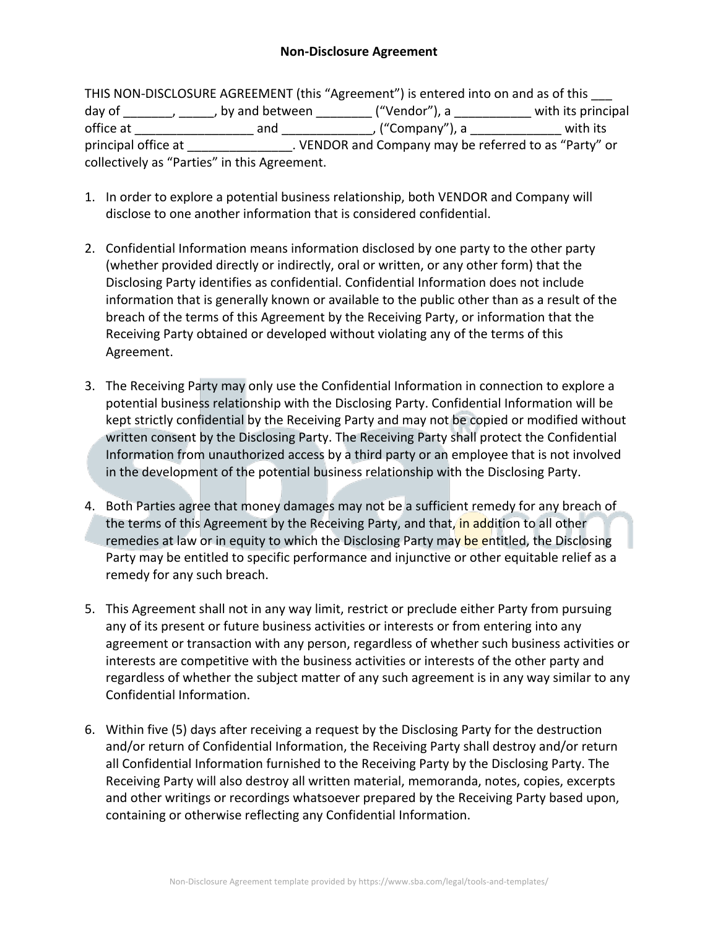## **Non-Disclosure Agreement**

THIS NON-DISCLOSURE AGREEMENT (this "Agreement") is entered into on and as of this day of  $\frac{1}{\frac{1}{\frac{1}{\sqrt{1-\frac{1}{\sqrt{1-\frac{1}{\sqrt{1-\frac{1}{\sqrt{1-\frac{1}{\sqrt{1-\frac{1}{\sqrt{1-\frac{1}{\sqrt{1-\frac{1}{\sqrt{1-\frac{1}{\sqrt{1-\frac{1}{\sqrt{1-\frac{1}{\sqrt{1-\frac{1}{\sqrt{1-\frac{1}{\sqrt{1-\frac{1}{\sqrt{1-\frac{1}{\sqrt{1-\frac{1}{\sqrt{1-\frac{1}{\sqrt{1-\frac{1}{\sqrt{1-\frac{1}{\sqrt{1-\frac{1}{\sqrt{1-\frac{1}{\sqrt{1-\frac{1}{\sqrt{1-\frac{1}{$ office at \_\_\_\_\_\_\_\_\_\_\_\_\_\_\_\_\_ and \_\_\_\_\_\_\_\_\_\_\_\_\_, ("Company"), a \_\_\_\_\_\_\_\_\_\_\_\_\_ with its principal office at  $\qquad \qquad \_$ . VENDOR and Company may be referred to as "Party" or collectively as "Parties" in this Agreement.

- 1. In order to explore a potential business relationship, both VENDOR and Company will disclose to one another information that is considered confidential.
- 2. Confidential Information means information disclosed by one party to the other party (whether provided directly or indirectly, oral or written, or any other form) that the Disclosing Party identifies as confidential. Confidential Information does not include information that is generally known or available to the public other than as a result of the breach of the terms of this Agreement by the Receiving Party, or information that the Receiving Party obtained or developed without violating any of the terms of this Agreement.
- 3. The Receiving Party may only use the Confidential Information in connection to explore a potential business relationship with the Disclosing Party. Confidential Information will be kept strictly confidential by the Receiving Party and may not be copied or modified without written consent by the Disclosing Party. The Receiving Party shall protect the Confidential Information from unauthorized access by a third party or an employee that is not involved in the development of the potential business relationship with the Disclosing Party.
- 4. Both Parties agree that money damages may not be a sufficient remedy for any breach of the terms of this Agreement by the Receiving Party, and that, in addition to all other remedies at law or in equity to which the Disclosing Party may be entitled, the Disclosing Party may be entitled to specific performance and injunctive or other equitable relief as a remedy for any such breach.
- 5. This Agreement shall not in any way limit, restrict or preclude either Party from pursuing any of its present or future business activities or interests or from entering into any agreement or transaction with any person, regardless of whether such business activities or interests are competitive with the business activities or interests of the other party and regardless of whether the subject matter of any such agreement is in any way similar to any Confidential Information.
- 6. Within five (5) days after receiving a request by the Disclosing Party for the destruction and/or return of Confidential Information, the Receiving Party shall destroy and/or return all Confidential Information furnished to the Receiving Party by the Disclosing Party. The Receiving Party will also destroy all written material, memoranda, notes, copies, excerpts and other writings or recordings whatsoever prepared by the Receiving Party based upon, containing or otherwise reflecting any Confidential Information.